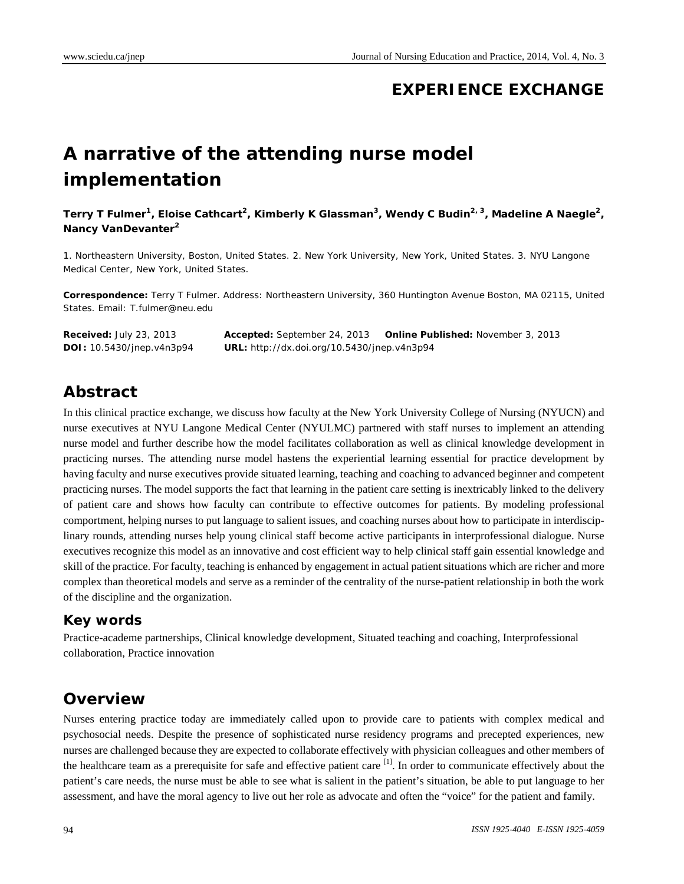## **EXPERIENCE EXCHANGE**

# **A narrative of the attending nurse model implementation**

Terry T Fulmer<sup>1</sup>, Eloise Cathcart<sup>2</sup>, Kimberly K Glassman<sup>3</sup>, Wendy C Budin<sup>2, 3</sup>, Madeline A Naegle<sup>2</sup>, **Nancy VanDevanter<sup>2</sup>**

1. Northeastern University, Boston, United States. 2. New York University, New York, United States. 3. NYU Langone Medical Center, New York, United States.

**Correspondence:** Terry T Fulmer. Address: Northeastern University, 360 Huntington Avenue Boston, MA 02115, United States. Email: T.fulmer@neu.edu

| Received: July 23, 2013          | <b>Accepted:</b> September 24, 2013                | <b>Online Published:</b> November 3, 2013 |
|----------------------------------|----------------------------------------------------|-------------------------------------------|
| <b>DOI:</b> 10.5430/jnep.v4n3p94 | <b>URL:</b> http://dx.doi.org/10.5430/jnep.v4n3p94 |                                           |

# **Abstract**

In this clinical practice exchange, we discuss how faculty at the New York University College of Nursing (NYUCN) and nurse executives at NYU Langone Medical Center (NYULMC) partnered with staff nurses to implement an attending nurse model and further describe how the model facilitates collaboration as well as clinical knowledge development in practicing nurses. The attending nurse model hastens the experiential learning essential for practice development by having faculty and nurse executives provide situated learning, teaching and coaching to advanced beginner and competent practicing nurses. The model supports the fact that learning in the patient care setting is inextricably linked to the delivery of patient care and shows how faculty can contribute to effective outcomes for patients. By modeling professional comportment, helping nurses to put language to salient issues, and coaching nurses about how to participate in interdisciplinary rounds, attending nurses help young clinical staff become active participants in interprofessional dialogue. Nurse executives recognize this model as an innovative and cost efficient way to help clinical staff gain essential knowledge and skill of the practice. For faculty, teaching is enhanced by engagement in actual patient situations which are richer and more complex than theoretical models and serve as a reminder of the centrality of the nurse-patient relationship in both the work of the discipline and the organization.

#### **Key words**

Practice-academe partnerships, Clinical knowledge development, Situated teaching and coaching, Interprofessional collaboration, Practice innovation

## **Overview**

Nurses entering practice today are immediately called upon to provide care to patients with complex medical and psychosocial needs. Despite the presence of sophisticated nurse residency programs and precepted experiences, new nurses are challenged because they are expected to collaborate effectively with physician colleagues and other members of the healthcare team as a prerequisite for safe and effective patient care  $^{[1]}$ . In order to communicate effectively about the patient's care needs, the nurse must be able to see what is salient in the patient's situation, be able to put language to her assessment, and have the moral agency to live out her role as advocate and often the "voice" for the patient and family.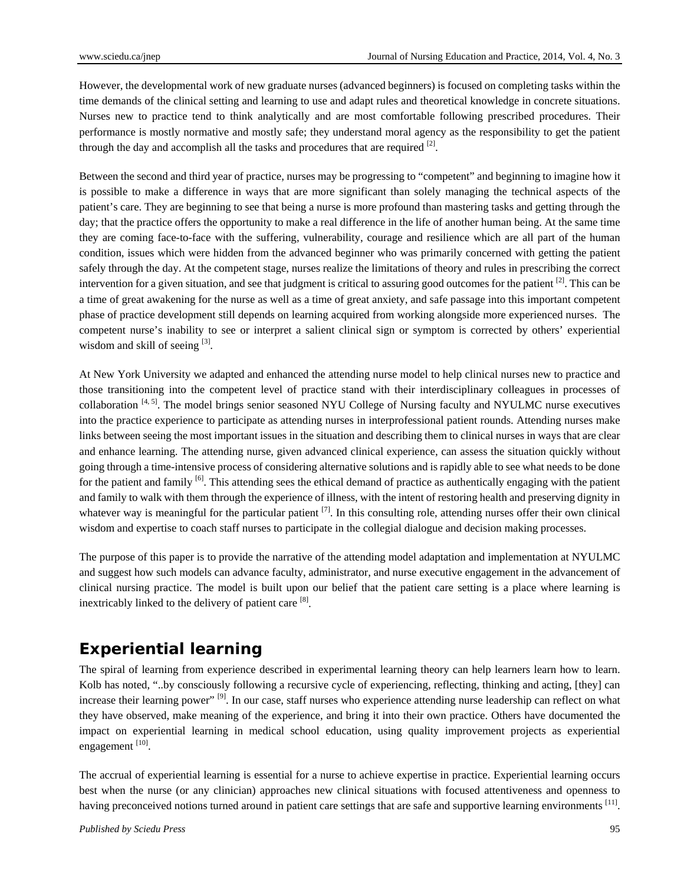However, the developmental work of new graduate nurses (advanced beginners) is focused on completing tasks within the time demands of the clinical setting and learning to use and adapt rules and theoretical knowledge in concrete situations. Nurses new to practice tend to think analytically and are most comfortable following prescribed procedures. Their performance is mostly normative and mostly safe; they understand moral agency as the responsibility to get the patient through the day and accomplish all the tasks and procedures that are required  $[2]$ .

Between the second and third year of practice, nurses may be progressing to "competent" and beginning to imagine how it is possible to make a difference in ways that are more significant than solely managing the technical aspects of the patient's care. They are beginning to see that being a nurse is more profound than mastering tasks and getting through the day; that the practice offers the opportunity to make a real difference in the life of another human being. At the same time they are coming face-to-face with the suffering, vulnerability, courage and resilience which are all part of the human condition, issues which were hidden from the advanced beginner who was primarily concerned with getting the patient safely through the day. At the competent stage, nurses realize the limitations of theory and rules in prescribing the correct intervention for a given situation, and see that judgment is critical to assuring good outcomes for the patient <sup>[2]</sup>. This can be a time of great awakening for the nurse as well as a time of great anxiety, and safe passage into this important competent phase of practice development still depends on learning acquired from working alongside more experienced nurses. The competent nurse's inability to see or interpret a salient clinical sign or symptom is corrected by others' experiential wisdom and skill of seeing  $[3]$ .

At New York University we adapted and enhanced the attending nurse model to help clinical nurses new to practice and those transitioning into the competent level of practice stand with their interdisciplinary colleagues in processes of collaboration  $[4, 5]$ . The model brings senior seasoned NYU College of Nursing faculty and NYULMC nurse executives into the practice experience to participate as attending nurses in interprofessional patient rounds. Attending nurses make links between seeing the most important issues in the situation and describing them to clinical nurses in ways that are clear and enhance learning. The attending nurse, given advanced clinical experience, can assess the situation quickly without going through a time-intensive process of considering alternative solutions and is rapidly able to see what needs to be done for the patient and family <sup>[6]</sup>. This attending sees the ethical demand of practice as authentically engaging with the patient and family to walk with them through the experience of illness, with the intent of restoring health and preserving dignity in whatever way is meaningful for the particular patient  $^{[7]}$ . In this consulting role, attending nurses offer their own clinical wisdom and expertise to coach staff nurses to participate in the collegial dialogue and decision making processes.

The purpose of this paper is to provide the narrative of the attending model adaptation and implementation at NYULMC and suggest how such models can advance faculty, administrator, and nurse executive engagement in the advancement of clinical nursing practice. The model is built upon our belief that the patient care setting is a place where learning is inextricably linked to the delivery of patient care  $[8]$ .

# **Experiential learning**

The spiral of learning from experience described in experimental learning theory can help learners learn how to learn. Kolb has noted, "..by consciously following a recursive cycle of experiencing, reflecting, thinking and acting, [they] can increase their learning power" <sup>[9]</sup>. In our case, staff nurses who experience attending nurse leadership can reflect on what they have observed, make meaning of the experience, and bring it into their own practice. Others have documented the impact on experiential learning in medical school education, using quality improvement projects as experiential engagement<sup>[10]</sup>.

The accrual of experiential learning is essential for a nurse to achieve expertise in practice. Experiential learning occurs best when the nurse (or any clinician) approaches new clinical situations with focused attentiveness and openness to having preconceived notions turned around in patient care settings that are safe and supportive learning environments [11].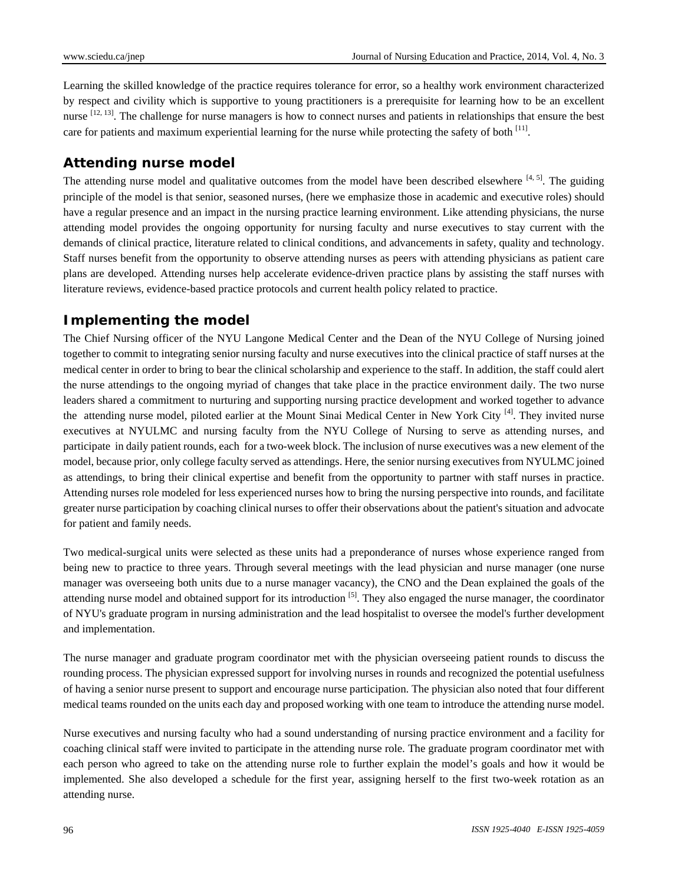Learning the skilled knowledge of the practice requires tolerance for error, so a healthy work environment characterized by respect and civility which is supportive to young practitioners is a prerequisite for learning how to be an excellent nurse  $[12, 13]$ . The challenge for nurse managers is how to connect nurses and patients in relationships that ensure the best care for patients and maximum experiential learning for the nurse while protecting the safety of both  $[11]$ .

#### **Attending nurse model**

The attending nurse model and qualitative outcomes from the model have been described elsewhere  $[4, 5]$ . The guiding principle of the model is that senior, seasoned nurses, (here we emphasize those in academic and executive roles) should have a regular presence and an impact in the nursing practice learning environment. Like attending physicians, the nurse attending model provides the ongoing opportunity for nursing faculty and nurse executives to stay current with the demands of clinical practice, literature related to clinical conditions, and advancements in safety, quality and technology. Staff nurses benefit from the opportunity to observe attending nurses as peers with attending physicians as patient care plans are developed. Attending nurses help accelerate evidence-driven practice plans by assisting the staff nurses with literature reviews, evidence-based practice protocols and current health policy related to practice.

#### **Implementing the model**

The Chief Nursing officer of the NYU Langone Medical Center and the Dean of the NYU College of Nursing joined together to commit to integrating senior nursing faculty and nurse executives into the clinical practice of staff nurses at the medical center in order to bring to bear the clinical scholarship and experience to the staff. In addition, the staff could alert the nurse attendings to the ongoing myriad of changes that take place in the practice environment daily. The two nurse leaders shared a commitment to nurturing and supporting nursing practice development and worked together to advance the attending nurse model, piloted earlier at the Mount Sinai Medical Center in New York City <sup>[4]</sup>. They invited nurse executives at NYULMC and nursing faculty from the NYU College of Nursing to serve as attending nurses, and participate in daily patient rounds, each for a two-week block. The inclusion of nurse executives was a new element of the model, because prior, only college faculty served as attendings. Here, the senior nursing executives from NYULMC joined as attendings, to bring their clinical expertise and benefit from the opportunity to partner with staff nurses in practice. Attending nurses role modeled for less experienced nurses how to bring the nursing perspective into rounds, and facilitate greater nurse participation by coaching clinical nurses to offer their observations about the patient's situation and advocate for patient and family needs.

Two medical-surgical units were selected as these units had a preponderance of nurses whose experience ranged from being new to practice to three years. Through several meetings with the lead physician and nurse manager (one nurse manager was overseeing both units due to a nurse manager vacancy), the CNO and the Dean explained the goals of the attending nurse model and obtained support for its introduction  $[5]$ . They also engaged the nurse manager, the coordinator of NYU's graduate program in nursing administration and the lead hospitalist to oversee the model's further development and implementation.

The nurse manager and graduate program coordinator met with the physician overseeing patient rounds to discuss the rounding process. The physician expressed support for involving nurses in rounds and recognized the potential usefulness of having a senior nurse present to support and encourage nurse participation. The physician also noted that four different medical teams rounded on the units each day and proposed working with one team to introduce the attending nurse model.

Nurse executives and nursing faculty who had a sound understanding of nursing practice environment and a facility for coaching clinical staff were invited to participate in the attending nurse role. The graduate program coordinator met with each person who agreed to take on the attending nurse role to further explain the model's goals and how it would be implemented. She also developed a schedule for the first year, assigning herself to the first two-week rotation as an attending nurse.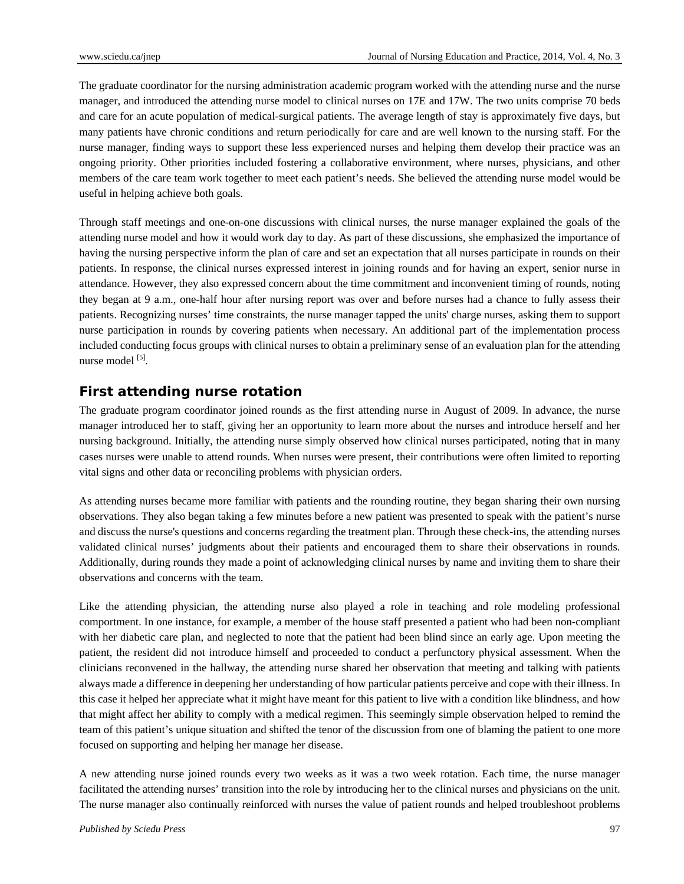The graduate coordinator for the nursing administration academic program worked with the attending nurse and the nurse manager, and introduced the attending nurse model to clinical nurses on 17E and 17W. The two units comprise 70 beds and care for an acute population of medical-surgical patients. The average length of stay is approximately five days, but many patients have chronic conditions and return periodically for care and are well known to the nursing staff. For the nurse manager, finding ways to support these less experienced nurses and helping them develop their practice was an ongoing priority. Other priorities included fostering a collaborative environment, where nurses, physicians, and other members of the care team work together to meet each patient's needs. She believed the attending nurse model would be useful in helping achieve both goals.

Through staff meetings and one-on-one discussions with clinical nurses, the nurse manager explained the goals of the attending nurse model and how it would work day to day. As part of these discussions, she emphasized the importance of having the nursing perspective inform the plan of care and set an expectation that all nurses participate in rounds on their patients. In response, the clinical nurses expressed interest in joining rounds and for having an expert, senior nurse in attendance. However, they also expressed concern about the time commitment and inconvenient timing of rounds, noting they began at 9 a.m., one-half hour after nursing report was over and before nurses had a chance to fully assess their patients. Recognizing nurses' time constraints, the nurse manager tapped the units' charge nurses, asking them to support nurse participation in rounds by covering patients when necessary. An additional part of the implementation process included conducting focus groups with clinical nurses to obtain a preliminary sense of an evaluation plan for the attending nurse model  $^{[5]}$ .

#### **First attending nurse rotation**

The graduate program coordinator joined rounds as the first attending nurse in August of 2009. In advance, the nurse manager introduced her to staff, giving her an opportunity to learn more about the nurses and introduce herself and her nursing background. Initially, the attending nurse simply observed how clinical nurses participated, noting that in many cases nurses were unable to attend rounds. When nurses were present, their contributions were often limited to reporting vital signs and other data or reconciling problems with physician orders.

As attending nurses became more familiar with patients and the rounding routine, they began sharing their own nursing observations. They also began taking a few minutes before a new patient was presented to speak with the patient's nurse and discuss the nurse's questions and concerns regarding the treatment plan. Through these check-ins, the attending nurses validated clinical nurses' judgments about their patients and encouraged them to share their observations in rounds. Additionally, during rounds they made a point of acknowledging clinical nurses by name and inviting them to share their observations and concerns with the team.

Like the attending physician, the attending nurse also played a role in teaching and role modeling professional comportment. In one instance, for example, a member of the house staff presented a patient who had been non-compliant with her diabetic care plan, and neglected to note that the patient had been blind since an early age. Upon meeting the patient, the resident did not introduce himself and proceeded to conduct a perfunctory physical assessment. When the clinicians reconvened in the hallway, the attending nurse shared her observation that meeting and talking with patients always made a difference in deepening her understanding of how particular patients perceive and cope with their illness. In this case it helped her appreciate what it might have meant for this patient to live with a condition like blindness, and how that might affect her ability to comply with a medical regimen. This seemingly simple observation helped to remind the team of this patient's unique situation and shifted the tenor of the discussion from one of blaming the patient to one more focused on supporting and helping her manage her disease.

A new attending nurse joined rounds every two weeks as it was a two week rotation. Each time, the nurse manager facilitated the attending nurses' transition into the role by introducing her to the clinical nurses and physicians on the unit. The nurse manager also continually reinforced with nurses the value of patient rounds and helped troubleshoot problems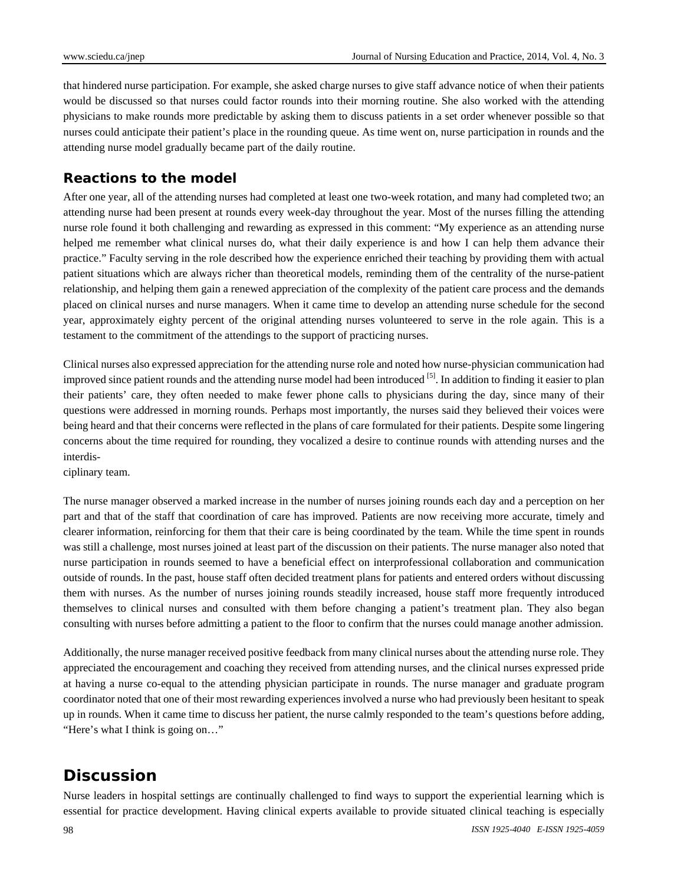that hindered nurse participation. For example, she asked charge nurses to give staff advance notice of when their patients would be discussed so that nurses could factor rounds into their morning routine. She also worked with the attending physicians to make rounds more predictable by asking them to discuss patients in a set order whenever possible so that nurses could anticipate their patient's place in the rounding queue. As time went on, nurse participation in rounds and the attending nurse model gradually became part of the daily routine.

#### **Reactions to the model**

After one year, all of the attending nurses had completed at least one two-week rotation, and many had completed two; an attending nurse had been present at rounds every week-day throughout the year. Most of the nurses filling the attending nurse role found it both challenging and rewarding as expressed in this comment: "My experience as an attending nurse helped me remember what clinical nurses do, what their daily experience is and how I can help them advance their practice." Faculty serving in the role described how the experience enriched their teaching by providing them with actual patient situations which are always richer than theoretical models, reminding them of the centrality of the nurse-patient relationship, and helping them gain a renewed appreciation of the complexity of the patient care process and the demands placed on clinical nurses and nurse managers. When it came time to develop an attending nurse schedule for the second year, approximately eighty percent of the original attending nurses volunteered to serve in the role again. This is a testament to the commitment of the attendings to the support of practicing nurses.

Clinical nurses also expressed appreciation for the attending nurse role and noted how nurse-physician communication had improved since patient rounds and the attending nurse model had been introduced  $[5]$ . In addition to finding it easier to plan their patients' care, they often needed to make fewer phone calls to physicians during the day, since many of their questions were addressed in morning rounds. Perhaps most importantly, the nurses said they believed their voices were being heard and that their concerns were reflected in the plans of care formulated for their patients. Despite some lingering concerns about the time required for rounding, they vocalized a desire to continue rounds with attending nurses and the interdis-

ciplinary team.

The nurse manager observed a marked increase in the number of nurses joining rounds each day and a perception on her part and that of the staff that coordination of care has improved. Patients are now receiving more accurate, timely and clearer information, reinforcing for them that their care is being coordinated by the team. While the time spent in rounds was still a challenge, most nurses joined at least part of the discussion on their patients. The nurse manager also noted that nurse participation in rounds seemed to have a beneficial effect on interprofessional collaboration and communication outside of rounds. In the past, house staff often decided treatment plans for patients and entered orders without discussing them with nurses. As the number of nurses joining rounds steadily increased, house staff more frequently introduced themselves to clinical nurses and consulted with them before changing a patient's treatment plan. They also began consulting with nurses before admitting a patient to the floor to confirm that the nurses could manage another admission.

Additionally, the nurse manager received positive feedback from many clinical nurses about the attending nurse role. They appreciated the encouragement and coaching they received from attending nurses, and the clinical nurses expressed pride at having a nurse co-equal to the attending physician participate in rounds. The nurse manager and graduate program coordinator noted that one of their most rewarding experiences involved a nurse who had previously been hesitant to speak up in rounds. When it came time to discuss her patient, the nurse calmly responded to the team's questions before adding, "Here's what I think is going on…"

# **Discussion**

Nurse leaders in hospital settings are continually challenged to find ways to support the experiential learning which is essential for practice development. Having clinical experts available to provide situated clinical teaching is especially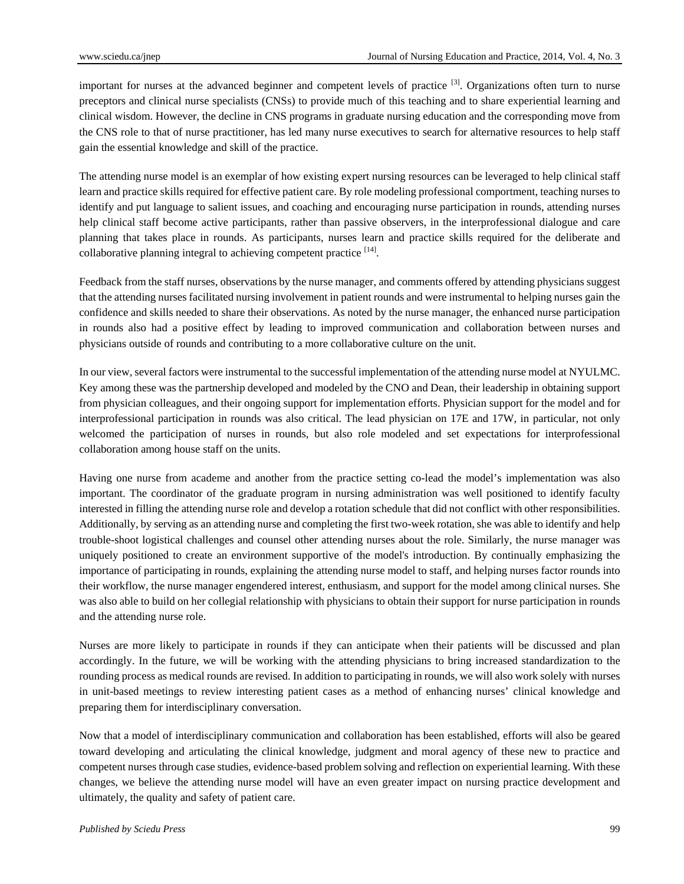important for nurses at the advanced beginner and competent levels of practice <sup>[3]</sup>. Organizations often turn to nurse preceptors and clinical nurse specialists (CNSs) to provide much of this teaching and to share experiential learning and clinical wisdom. However, the decline in CNS programs in graduate nursing education and the corresponding move from the CNS role to that of nurse practitioner, has led many nurse executives to search for alternative resources to help staff gain the essential knowledge and skill of the practice.

The attending nurse model is an exemplar of how existing expert nursing resources can be leveraged to help clinical staff learn and practice skills required for effective patient care. By role modeling professional comportment, teaching nurses to identify and put language to salient issues, and coaching and encouraging nurse participation in rounds, attending nurses help clinical staff become active participants, rather than passive observers, in the interprofessional dialogue and care planning that takes place in rounds. As participants, nurses learn and practice skills required for the deliberate and collaborative planning integral to achieving competent practice <sup>[14]</sup>.

Feedback from the staff nurses, observations by the nurse manager, and comments offered by attending physicians suggest that the attending nurses facilitated nursing involvement in patient rounds and were instrumental to helping nurses gain the confidence and skills needed to share their observations. As noted by the nurse manager, the enhanced nurse participation in rounds also had a positive effect by leading to improved communication and collaboration between nurses and physicians outside of rounds and contributing to a more collaborative culture on the unit.

In our view, several factors were instrumental to the successful implementation of the attending nurse model at NYULMC. Key among these was the partnership developed and modeled by the CNO and Dean, their leadership in obtaining support from physician colleagues, and their ongoing support for implementation efforts. Physician support for the model and for interprofessional participation in rounds was also critical. The lead physician on 17E and 17W, in particular, not only welcomed the participation of nurses in rounds, but also role modeled and set expectations for interprofessional collaboration among house staff on the units.

Having one nurse from academe and another from the practice setting co-lead the model's implementation was also important. The coordinator of the graduate program in nursing administration was well positioned to identify faculty interested in filling the attending nurse role and develop a rotation schedule that did not conflict with other responsibilities. Additionally, by serving as an attending nurse and completing the first two-week rotation, she was able to identify and help trouble-shoot logistical challenges and counsel other attending nurses about the role. Similarly, the nurse manager was uniquely positioned to create an environment supportive of the model's introduction. By continually emphasizing the importance of participating in rounds, explaining the attending nurse model to staff, and helping nurses factor rounds into their workflow, the nurse manager engendered interest, enthusiasm, and support for the model among clinical nurses. She was also able to build on her collegial relationship with physicians to obtain their support for nurse participation in rounds and the attending nurse role.

Nurses are more likely to participate in rounds if they can anticipate when their patients will be discussed and plan accordingly. In the future, we will be working with the attending physicians to bring increased standardization to the rounding process as medical rounds are revised. In addition to participating in rounds, we will also work solely with nurses in unit-based meetings to review interesting patient cases as a method of enhancing nurses' clinical knowledge and preparing them for interdisciplinary conversation.

Now that a model of interdisciplinary communication and collaboration has been established, efforts will also be geared toward developing and articulating the clinical knowledge, judgment and moral agency of these new to practice and competent nurses through case studies, evidence-based problem solving and reflection on experiential learning. With these changes, we believe the attending nurse model will have an even greater impact on nursing practice development and ultimately, the quality and safety of patient care.